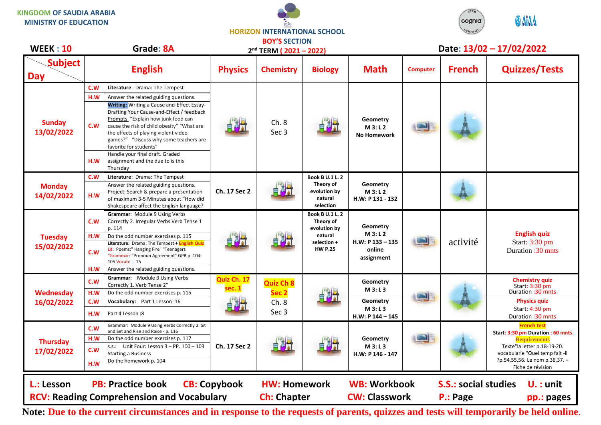**KINGDOM OF SAUDIA ARABIA MINISTRY OF EDUCATION**





| <b>WEEK: 10</b>               |     | Grade: 8A                                                                                                                                                                                                                                                                                      | 2 <sup>nd</sup> TERM (2021-2022) |                                                       |                                                                                          |                                                                  | Date: 13/02 - 17/02/2022 |                                         |                                                                |
|-------------------------------|-----|------------------------------------------------------------------------------------------------------------------------------------------------------------------------------------------------------------------------------------------------------------------------------------------------|----------------------------------|-------------------------------------------------------|------------------------------------------------------------------------------------------|------------------------------------------------------------------|--------------------------|-----------------------------------------|----------------------------------------------------------------|
| <b>Subject</b><br><b>Day</b>  |     | <b>English</b>                                                                                                                                                                                                                                                                                 | <b>Physics</b>                   | <b>Chemistry</b>                                      | <b>Biology</b>                                                                           | <b>Math</b>                                                      | <b>Computer</b>          | <b>French</b>                           | <b>Quizzes/Tests</b>                                           |
| <b>Sunday</b><br>13/02/2022   | C.W | Literature: Drama: The Tempest                                                                                                                                                                                                                                                                 |                                  | Ch.8<br>Sec <sub>3</sub>                              |                                                                                          | Geometry<br>M3: L2<br><b>No Homework</b>                         |                          |                                         |                                                                |
|                               | H.W | Answer the related guiding questions.                                                                                                                                                                                                                                                          |                                  |                                                       |                                                                                          |                                                                  |                          |                                         |                                                                |
|                               | C.W | <b>Writing:</b> Writing a Cause and-Effect Essay-<br>Drafting Your Cause-and-Effect / feedback<br>Prompts "Explain how junk food can<br>cause the risk of child obesity" "What are<br>the effects of playing violent video<br>games?" "Discuss why some teachers are<br>favorite for students" |                                  |                                                       |                                                                                          |                                                                  |                          |                                         |                                                                |
|                               | H.W | Handle your final draft. Graded<br>assignment and the due to is this<br>Thursday                                                                                                                                                                                                               |                                  |                                                       |                                                                                          |                                                                  |                          |                                         |                                                                |
|                               | C.W | Literature: Drama: The Tempest                                                                                                                                                                                                                                                                 |                                  |                                                       | <b>Book B U.1 L. 2</b>                                                                   |                                                                  |                          |                                         |                                                                |
| <b>Monday</b><br>14/02/2022   | H.W | Answer the related guiding questions.<br>Project: Search & prepare a presentation<br>of maximum 3-5 Minutes about "How did<br>Shakespeare affect the English language?                                                                                                                         | Ch. 17 Sec 2                     |                                                       | Theory of<br>evolution by<br>natural<br>selection                                        | Geometry<br>M 3: L 2<br>H.W: P 131 - 132                         |                          |                                         |                                                                |
| <b>Tuesday</b><br>15/02/2022  | C.W | Grammar: Module 9 Using Verbs<br>Correctly 2. Irregular Verbs Verb Tense 1<br>p. 114                                                                                                                                                                                                           |                                  |                                                       | Book B U.1 L. 2<br>Theory of<br>evolution by<br>natural<br>selection +<br><b>HW P.25</b> | Geometry<br>M3: L2<br>$H.W: P 133 - 135$<br>online<br>assignment |                          | activité                                | <b>English quiz</b><br>Start: 3:30 pm<br>Duration : 30 mnts    |
|                               | H.W | Do the odd number exercises p. 115                                                                                                                                                                                                                                                             |                                  |                                                       |                                                                                          |                                                                  |                          |                                         |                                                                |
|                               | C.W | Literature: Drama: The Tempest + English Quiz<br>Lit: Poems:" Hanging Fire" "Teenagers<br>"Grammar: "Pronoun Agreement" GPB p. 104-<br>105 Vocab: L. 15                                                                                                                                        |                                  |                                                       |                                                                                          |                                                                  |                          |                                         |                                                                |
|                               | H.W | Answer the related guiding questions.                                                                                                                                                                                                                                                          |                                  |                                                       |                                                                                          |                                                                  |                          |                                         |                                                                |
| Wednesday<br>16/02/2022       | C.W | Grammar: Module 9 Using Verbs<br>Correctly 1. Verb Tense 2"                                                                                                                                                                                                                                    | Quiz Ch. 17<br>sec. 1            | <b>Quiz Ch 8</b><br>Sec <sub>2</sub><br>Ch.8<br>Sec 3 |                                                                                          | Geometry<br>M3: L3                                               |                          |                                         | <b>Chemistry quiz</b><br>Start: 3:30 pm                        |
|                               | H.W | Do the odd number exercises p. 115                                                                                                                                                                                                                                                             |                                  |                                                       |                                                                                          |                                                                  |                          |                                         | Duration :30 mnts                                              |
|                               | C.W | Vocabulary: Part 1 Lesson: 16                                                                                                                                                                                                                                                                  |                                  |                                                       |                                                                                          | Geometry<br>M 3: L 3                                             |                          |                                         | <b>Physics quiz</b><br>Start: 4:30 pm                          |
|                               | H.W | Part 4 Lesson:8                                                                                                                                                                                                                                                                                |                                  |                                                       |                                                                                          | $H.W: P 144 - 145$                                               |                          |                                         | Duration : 30 mnts                                             |
| <b>Thursday</b><br>17/02/2022 | C.W | Grammar: Module 9 Using Verbs Correctly 2. Sit<br>and Set and Rise and Raise - p. 116                                                                                                                                                                                                          | Ch. 17 Sec 2                     | 自利士                                                   |                                                                                          | Geometry<br>M3: L3<br>H.W: P 146 - 147                           |                          |                                         | <b>French test</b>                                             |
|                               | H.W | Do the odd number exercises p. 117                                                                                                                                                                                                                                                             |                                  |                                                       |                                                                                          |                                                                  |                          |                                         | Start: 3:30 pm Duration : 60 mnts<br><b>Requirements</b>       |
|                               | C.W | s.s.: Unit Four: Lesson 3 - PP. 100 - 103<br><b>Starting a Business</b>                                                                                                                                                                                                                        |                                  |                                                       |                                                                                          |                                                                  |                          |                                         | Texte"la letter p.18-19-20.<br>vocabularie "Quel temp fait -il |
|                               | H.W | Do the homework p. 104                                                                                                                                                                                                                                                                         |                                  |                                                       |                                                                                          |                                                                  |                          |                                         | ?p.54,55,56. Le nom p.36,37. +<br>Fiche de révision            |
| L.: Lesson                    |     | <b>PB: Practice book</b><br><b>RCV: Reading Comprehension and Vocabulary</b>                                                                                                                                                                                                                   | <b>CB: Copybook</b>              | <b>HW: Homework</b><br><b>Ch: Chapter</b>             |                                                                                          | <b>WB: Workbook</b><br><b>CW: Classwork</b>                      |                          | <b>S.S.: social studies</b><br>P.: Page | $U.$ : unit<br>pp.: pages                                      |

**Note: Due to the current circumstances and in response to the requests of parents, quizzes and tests will temporarily be held online.**